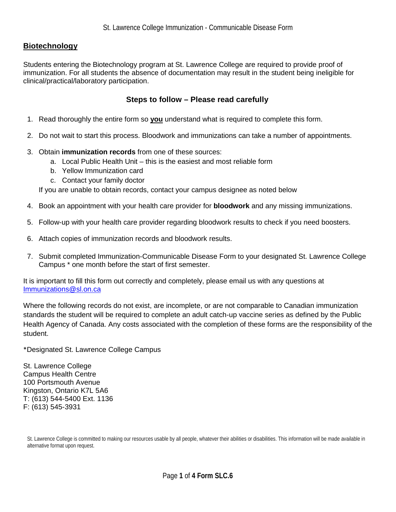## **Biotechnology**

Students entering the Biotechnology program at St. Lawrence College are required to provide proof of immunization. For all students the absence of documentation may result in the student being ineligible for clinical/practical/laboratory participation.

## **Steps to follow – Please read carefully**

- 1. Read thoroughly the entire form so **you** understand what is required to complete this form.
- 2. Do not wait to start this process. Bloodwork and immunizations can take a number of appointments.
- 3. Obtain **immunization records** from one of these sources:
	- a. Local Public Health Unit this is the easiest and most reliable form
	- b. Yellow Immunization card
	- c. Contact your family doctor

If you are unable to obtain records, contact your campus designee as noted below

- 4. Book an appointment with your health care provider for **bloodwork** and any missing immunizations.
- 5. Follow-up with your health care provider regarding bloodwork results to check if you need boosters.
- 6. Attach copies of immunization records and bloodwork results.
- 7. Submit completed Immunization-Communicable Disease Form to your designated St. Lawrence College Campus \* one month before the start of first semester.

It is important to fill this form out correctly and completely, please email us with any questions at [Immunizations@sl.on.ca](mailto:Immunizations@sl.on.ca)

Where the following records do not exist, are incomplete, or are not comparable to Canadian immunization standards the student will be required to complete an adult catch-up vaccine series as defined by the Public Health Agency of Canada. Any costs associated with the completion of these forms are the responsibility of the student.

\*Designated St. Lawrence College Campus

St. Lawrence College Campus Health Centre 100 Portsmouth Avenue Kingston, Ontario K7L 5A6 T: (613) 544-5400 Ext. 1136 F: (613) 545-3931

St. Lawrence College is committed to making our resources usable by all people, whatever their abilities or disabilities. This information will be made available in alternative format upon request.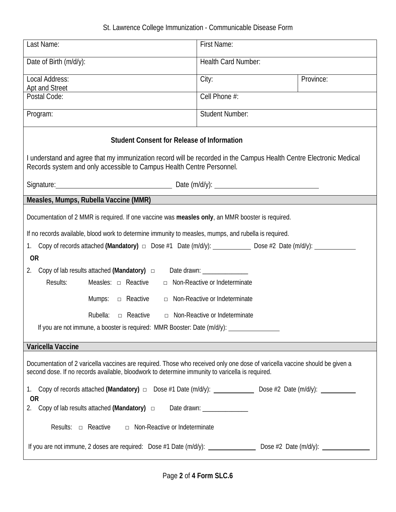## St. Lawrence College Immunization - Communicable Disease Form

| Last Name:                                                                                                                                                                                                                      | First Name:                   |           |
|---------------------------------------------------------------------------------------------------------------------------------------------------------------------------------------------------------------------------------|-------------------------------|-----------|
| Date of Birth (m/d/y):                                                                                                                                                                                                          | Health Card Number:           |           |
| Local Address:<br>Apt and Street                                                                                                                                                                                                | City:                         | Province: |
| Postal Code:                                                                                                                                                                                                                    | Cell Phone #:                 |           |
| Program:                                                                                                                                                                                                                        | <b>Student Number:</b>        |           |
| <b>Student Consent for Release of Information</b>                                                                                                                                                                               |                               |           |
| I understand and agree that my immunization record will be recorded in the Campus Health Centre Electronic Medical<br>Records system and only accessible to Campus Health Centre Personnel.                                     |                               |           |
|                                                                                                                                                                                                                                 |                               |           |
| Measles, Mumps, Rubella Vaccine (MMR)                                                                                                                                                                                           |                               |           |
| Documentation of 2 MMR is required. If one vaccine was measles only, an MMR booster is required.                                                                                                                                |                               |           |
| If no records available, blood work to determine immunity to measles, mumps, and rubella is required.<br>Copy of records attached (Mandatory) $\Box$ Dose #1 Date (m/d/y): ____________ Dose #2 Date (m/d/y): ___________<br>1. |                               |           |
| <b>OR</b>                                                                                                                                                                                                                       |                               |           |
| Copy of lab results attached (Mandatory) $\Box$ Date drawn: _____________<br>2.<br>Results:<br>Measles: $\Box$ Reactive<br>□ Non-Reactive or Indeterminate                                                                      |                               |           |
| Mumps: $\Box$ Reactive<br>$\Box$ Non-Reactive or Indeterminate                                                                                                                                                                  |                               |           |
| Rubella: $\Box$ Reactive<br>$\Box$ Non-Reactive or Indeterminate                                                                                                                                                                |                               |           |
| If you are not immune, a booster is required: MMR Booster: Date (m/d/y):                                                                                                                                                        |                               |           |
| Varicella Vaccine                                                                                                                                                                                                               |                               |           |
| Documentation of 2 varicella vaccines are required. Those who received only one dose of varicella vaccine should be given a<br>second dose. If no records available, bloodwork to determine immunity to varicella is required.  |                               |           |
| 1. Copy of records attached (Mandatory) $\Box$ Dose #1 Date (m/d/y): ______________ Dose #2 Date (m/d/y): ___________<br><b>OR</b><br>Copy of lab results attached (Mandatory) $\Box$<br>2.                                     | Date drawn: _________________ |           |
| Results: $\Box$ Reactive<br>□ Non-Reactive or Indeterminate                                                                                                                                                                     |                               |           |
| If you are not immune, 2 doses are required: Dose #1 Date (m/d/y): _______________________ Dose #2 Date (m/d/y): ______________________                                                                                         |                               |           |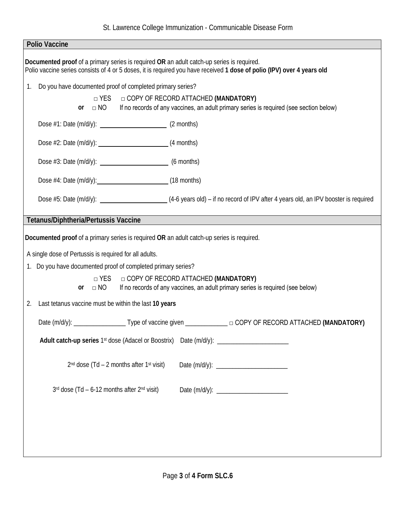| <b>Polio Vaccine</b>                                                                                                                                                                                                |  |  |
|---------------------------------------------------------------------------------------------------------------------------------------------------------------------------------------------------------------------|--|--|
| Documented proof of a primary series is required OR an adult catch-up series is required.<br>Polio vaccine series consists of 4 or 5 doses, it is required you have received 1 dose of polio (IPV) over 4 years old |  |  |
| Do you have documented proof of completed primary series?<br>1.                                                                                                                                                     |  |  |
| $\Box$ YES $\Box$ COPY OF RECORD ATTACHED (MANDATORY)<br>If no records of any vaccines, an adult primary series is required (see section below)<br>$\Box$ NO<br>or                                                  |  |  |
|                                                                                                                                                                                                                     |  |  |
|                                                                                                                                                                                                                     |  |  |
| Dose #3: Date (m/d/y): __________________________________ (6 months)                                                                                                                                                |  |  |
|                                                                                                                                                                                                                     |  |  |
|                                                                                                                                                                                                                     |  |  |
| Tetanus/Diphtheria/Pertussis Vaccine                                                                                                                                                                                |  |  |
| Documented proof of a primary series is required OR an adult catch-up series is required.                                                                                                                           |  |  |
|                                                                                                                                                                                                                     |  |  |
| A single dose of Pertussis is required for all adults.<br>1. Do you have documented proof of completed primary series?                                                                                              |  |  |
| □ COPY OF RECORD ATTACHED (MANDATORY)<br>$\Box$ YES                                                                                                                                                                 |  |  |
| If no records of any vaccines, an adult primary series is required (see below)<br>$\Box$ NO<br><b>or</b>                                                                                                            |  |  |
| 2. Last tetanus vaccine must be within the last 10 years                                                                                                                                                            |  |  |
| Date (m/d/y): ___________________________Type of vaccine given _______________________ COPY OF RECORD ATTACHED (MANDATORY)                                                                                          |  |  |
| Adult catch-up series 1st dose (Adacel or Boostrix) Date (m/d/y): _____________________                                                                                                                             |  |  |
| $2nd$ dose (Td – 2 months after 1 <sup>st</sup> visit)                                                                                                                                                              |  |  |
| $3rd$ dose (Td – 6-12 months after $2nd$ visit)                                                                                                                                                                     |  |  |
|                                                                                                                                                                                                                     |  |  |
|                                                                                                                                                                                                                     |  |  |
|                                                                                                                                                                                                                     |  |  |
|                                                                                                                                                                                                                     |  |  |
|                                                                                                                                                                                                                     |  |  |